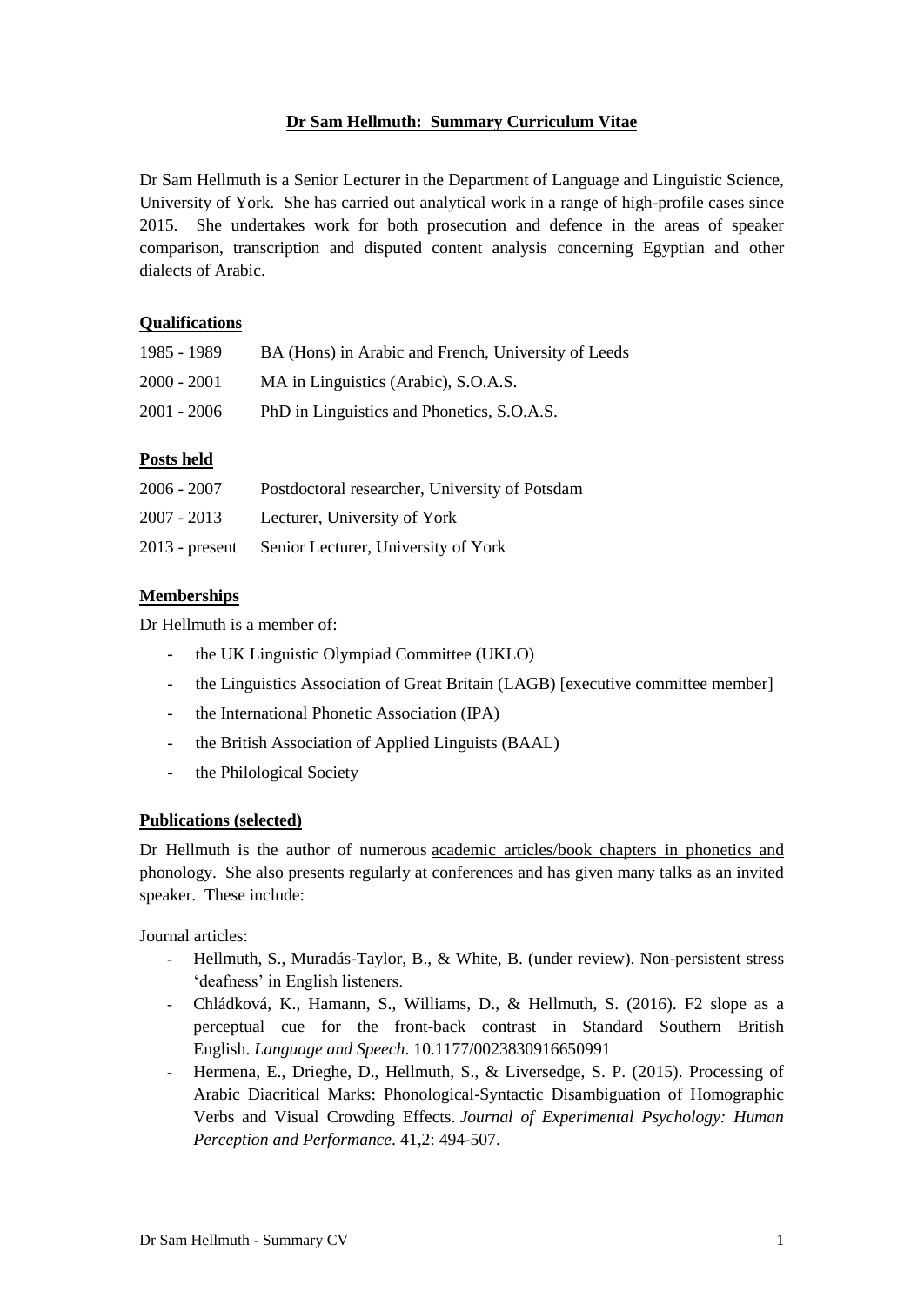# **Dr Sam Hellmuth: Summary Curriculum Vitae**

Dr Sam Hellmuth is a Senior Lecturer in the Department of Language and Linguistic Science, University of York. She has carried out analytical work in a range of high-profile cases since 2015. She undertakes work for both prosecution and defence in the areas of speaker comparison, transcription and disputed content analysis concerning Egyptian and other dialects of Arabic.

#### **Qualifications**

| 1985 - 1989   | BA (Hons) in Arabic and French, University of Leeds |
|---------------|-----------------------------------------------------|
| $2000 - 2001$ | MA in Linguistics (Arabic), S.O.A.S.                |
| $2001 - 2006$ | PhD in Linguistics and Phonetics, S.O.A.S.          |

# **Posts held**

| $2006 - 2007$    | Postdoctoral researcher, University of Potsdam |
|------------------|------------------------------------------------|
| 2007 - 2013      | Lecturer, University of York                   |
| $2013$ - present | Senior Lecturer, University of York            |

# **Memberships**

Dr Hellmuth is a member of:

- the UK Linguistic Olympiad Committee (UKLO)
- the Linguistics Association of Great Britain (LAGB) [executive committee member]
- the International Phonetic Association (IPA)
- the British Association of Applied Linguists (BAAL)
- the Philological Society

#### **Publications (selected)**

Dr Hellmuth is the author of numerous [academic articles/book chapters in phonetics and](http://samhellmuth.com/publications/)  [phonology.](http://samhellmuth.com/publications/) She also presents regularly at conferences and has given many talks as an invited speaker. These include:

Journal articles:

- Hellmuth, S., Muradás-Taylor, B., & White, B. (under review). Non-persistent stress 'deafness' in English listeners.
- Chládková, K., Hamann, S., Williams, D., & Hellmuth, S. (2016). F2 slope as a perceptual cue for the front-back contrast in Standard Southern British English. *Language and Speech*. 10.1177/0023830916650991
- Hermena, E., Drieghe, D., Hellmuth, S., & Liversedge, S. P. (2015). Processing of Arabic Diacritical Marks: Phonological-Syntactic Disambiguation of Homographic Verbs and Visual Crowding Effects. *Journal of Experimental Psychology: Human Perception and Performance*. 41,2: 494-507.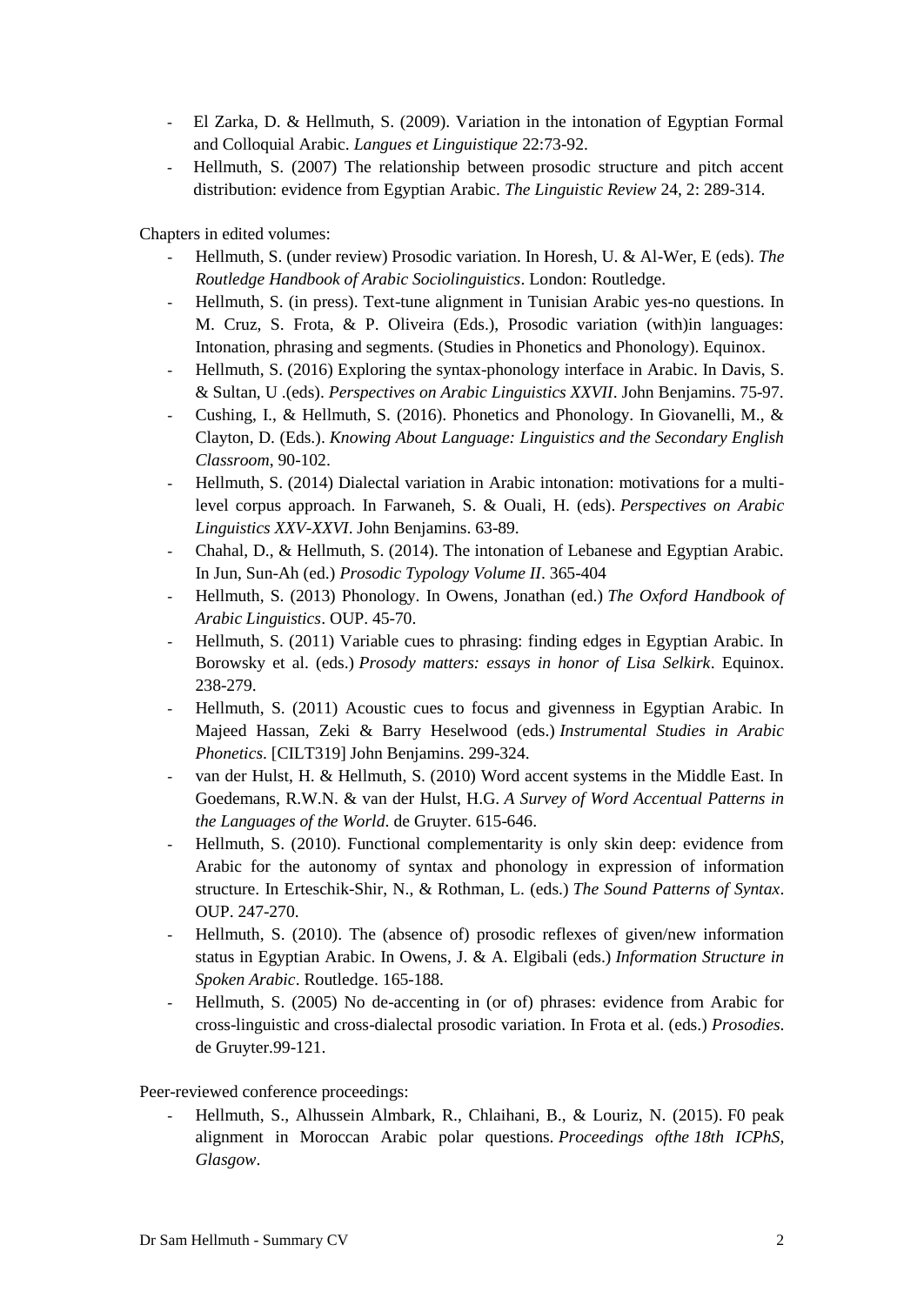- El Zarka, D. & Hellmuth, S. (2009). Variation in the intonation of Egyptian Formal and Colloquial Arabic. *Langues et Linguistique* 22:73-92.
- Hellmuth, S. (2007) The relationship between prosodic structure and pitch accent distribution: evidence from Egyptian Arabic. *The Linguistic Review* 24, 2: 289-314.

Chapters in edited volumes:

- Hellmuth, S. (under review) Prosodic variation. In Horesh, U. & Al-Wer, E (eds). *The Routledge Handbook of Arabic Sociolinguistics*. London: Routledge.
- Hellmuth, S. (in press). Text-tune alignment in Tunisian Arabic yes-no questions. In M. Cruz, S. Frota, & P. Oliveira (Eds.), Prosodic variation (with)in languages: Intonation, phrasing and segments. (Studies in Phonetics and Phonology). Equinox.
- Hellmuth, S. (2016) Exploring the syntax-phonology interface in Arabic. In Davis, S. & Sultan, U .(eds). *Perspectives on Arabic Linguistics XXVII*. John Benjamins. 75-97.
- Cushing, I., & Hellmuth, S. (2016). Phonetics and Phonology. In Giovanelli, M., & Clayton, D. (Eds.). *Knowing About Language: Linguistics and the Secondary English Classroom*, 90-102.
- Hellmuth, S. (2014) Dialectal variation in Arabic intonation: motivations for a multilevel corpus approach. In Farwaneh, S. & Ouali, H. (eds). *Perspectives on Arabic Linguistics XXV-XXVI*. John Benjamins. 63-89.
- Chahal, D., & Hellmuth, S. (2014). The intonation of Lebanese and Egyptian Arabic. In Jun, Sun-Ah (ed.) *Prosodic Typology Volume II*. 365-404
- Hellmuth, S. (2013) Phonology. In Owens, Jonathan (ed.) *The Oxford Handbook of Arabic Linguistics*. OUP. 45-70.
- Hellmuth, S. (2011) Variable cues to phrasing: finding edges in Egyptian Arabic. In Borowsky et al. (eds.) *Prosody matters: essays in honor of Lisa Selkirk*. Equinox. 238-279.
- Hellmuth, S. (2011) Acoustic cues to focus and givenness in Egyptian Arabic. In Majeed Hassan, Zeki & Barry Heselwood (eds.) *Instrumental Studies in Arabic Phonetics*. [CILT319] John Benjamins. 299-324.
- van der Hulst, H. & Hellmuth, S. (2010) Word accent systems in the Middle East. In Goedemans, R.W.N. & van der Hulst, H.G. *A Survey of Word Accentual Patterns in the Languages of the World*. de Gruyter. 615-646.
- Hellmuth, S. (2010). Functional complementarity is only skin deep: evidence from Arabic for the autonomy of syntax and phonology in expression of information structure. In Erteschik-Shir, N., & Rothman, L. (eds.) *The Sound Patterns of Syntax*. OUP. 247-270.
- Hellmuth, S. (2010). The (absence of) prosodic reflexes of given/new information status in Egyptian Arabic. In Owens, J. & A. Elgibali (eds.) *Information Structure in Spoken Arabic*. Routledge. 165-188.
- Hellmuth, S. (2005) No de-accenting in (or of) phrases: evidence from Arabic for cross-linguistic and cross-dialectal prosodic variation. In Frota et al. (eds.) *Prosodies*. de Gruyter.99-121.

Peer-reviewed conference proceedings:

- Hellmuth, S., Alhussein Almbark, R., Chlaihani, B., & Louriz, N. (2015). F0 peak alignment in Moroccan Arabic polar questions. *Proceedings ofthe 18th ICPhS, Glasgow*.